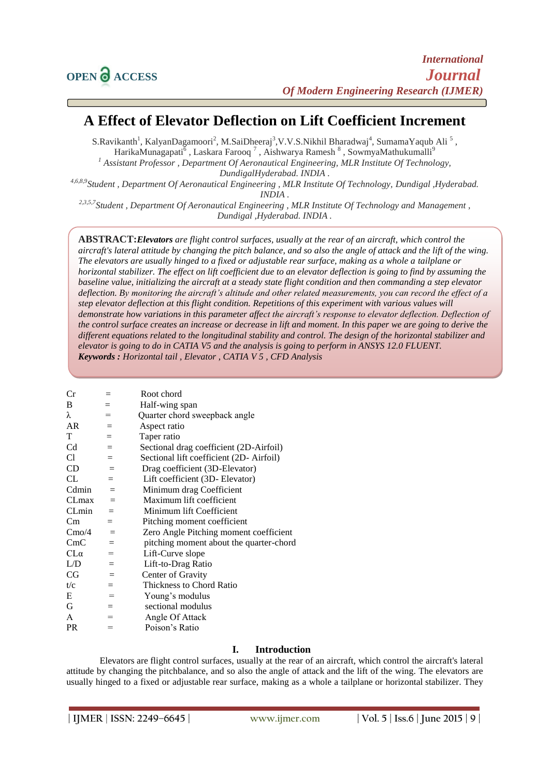# **A Effect of Elevator Deflection on Lift Coefficient Increment**

S.Ravikanth<sup>1</sup>, KalyanDagamoori<sup>2</sup>, M.SaiDheeraj<sup>3</sup>, V.V.S.Nikhil Bharadwaj<sup>4</sup>, SumamaYaqub Ali<sup>5</sup>, HarikaMunagapati<sup>6</sup> , Laskara Farooq <sup>7</sup> , Aishwarya Ramesh <sup>8</sup> , SowmyaMathukumalli<sup>9</sup> *<sup>1</sup> Assistant Professor , Department Of Aeronautical Engineering, MLR Institute Of Technology,* 

*DundigalHyderabad. INDIA .*

*4,6,8,9Student , Department Of Aeronautical Engineering , MLR Institute Of Technology, Dundigal ,Hyderabad. INDIA .*

*2,3,5,7Student , Department Of Aeronautical Engineering , MLR Institute Of Technology and Management , Dundigal ,Hyderabad. INDIA .*

**ABSTRACT:***Elevators are [flight control surfaces,](http://en.wikipedia.org/wiki/Flight_control_surfaces) usually at the rear of an [aircraft,](http://en.wikipedia.org/wiki/Aircraft) which control the aircraft's lateral attitude by changing the [pitch](http://en.wikipedia.org/wiki/Flight_dynamics) balance, and so also the [angle of attack](http://en.wikipedia.org/wiki/Angle_of_attack) and the lift of the wing. The elevators are usually hinged to a fixed or adjustable rear surface, making as a whole a [tailplane](http://en.wikipedia.org/wiki/Tailplane) or horizontal [stabilizer.](http://en.wikipedia.org/wiki/Stabilizer_(aircraft)) The effect on lift coefficient due to an elevator deflection is going to find by assuming the baseline value, initializing the aircraft at a steady state flight condition and then commanding a step elevator deflection. By monitoring the aircraft's altitude and other related measurements, you can record the effect of a step elevator deflection at this flight condition. Repetitions of this experiment with various values will demonstrate how variations in this parameter affect the aircraft's response to elevator deflection. Deflection of the control surface creates an increase or decrease in lift and moment. In this paper we are going to derive the different equations related to the longitudinal stability and control. The design of the horizontal stabilizer and elevator is going to do in CATIA V5 and the analysis is going to perform in ANSYS 12.0 FLUENT. Keywords : Horizontal tail , Elevator , CATIA V 5 , CFD Analysis*

| Cr                | $=$      | Root chord                              |
|-------------------|----------|-----------------------------------------|
| B                 | $=$      | Half-wing span                          |
| λ                 | =        | Quarter chord sweepback angle           |
| AR                | $=$      | Aspect ratio                            |
| T                 | $=$      | Taper ratio                             |
| C <sub>d</sub>    | $=$      | Sectional drag coefficient (2D-Airfoil) |
| Сl                | $=$      | Sectional lift coefficient (2D-Airfoil) |
| CD                | $=$      | Drag coefficient (3D-Elevator)          |
| CL                | $=$      | Lift coefficient (3D-Elevator)          |
| Cdmin             | $=$      | Minimum drag Coefficient                |
| CLmax             | $=$      | Maximum lift coefficient                |
| CLmin             | $=$      | Minimum lift Coefficient                |
| Cm                | $=$      | Pitching moment coefficient             |
| C <sub>mo/4</sub> | $\equiv$ | Zero Angle Pitching moment coefficient  |
| CmC               | $=$      | pitching moment about the quarter-chord |
| $CL\alpha$        | $=$      | Lift-Curve slope                        |
| L/D               | $=$      | Lift-to-Drag Ratio                      |
| CG                | $=$      | Center of Gravity                       |
| t/c               | $=$      | Thickness to Chord Ratio                |
| E                 | $=$      | Young's modulus                         |
| G                 | $=$      | sectional modulus                       |
| A                 | $=$      | Angle Of Attack                         |
| <b>PR</b>         | $=$      | Poison's Ratio                          |

# **I. Introduction**

Elevators are [flight control surfaces,](http://en.wikipedia.org/wiki/Flight_control_surfaces) usually at the rear of an [aircraft,](http://en.wikipedia.org/wiki/Aircraft) which control the aircraft's lateral attitude by changing the [pitchb](http://en.wikipedia.org/wiki/Flight_dynamics)alance, and so also the [angle of attack](http://en.wikipedia.org/wiki/Angle_of_attack) and the lift of the wing. The elevators are usually hinged to a fixed or adjustable rear surface, making as a whole a [tailplane](http://en.wikipedia.org/wiki/Tailplane) or horizontal [stabilizer.](http://en.wikipedia.org/wiki/Stabilizer_(aircraft)) They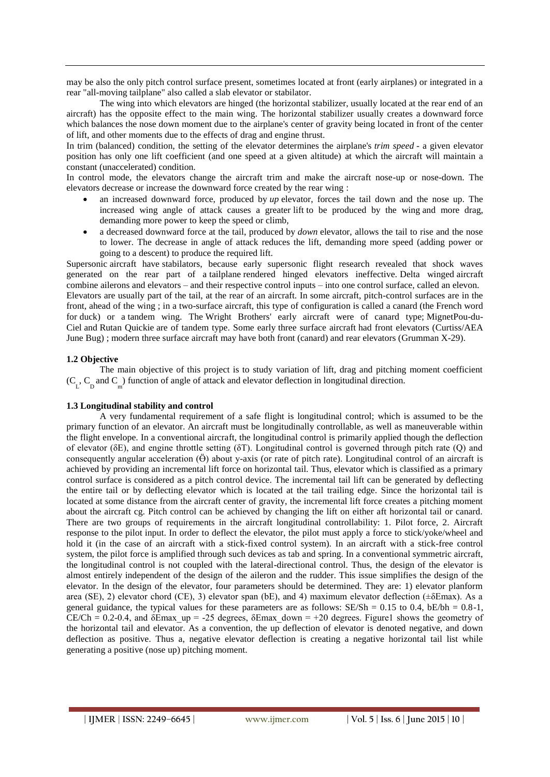may be also the only pitch control surface present, sometimes located at front (early airplanes) or integrated in a rear "all-moving tailplane" also called a slab elevator or [stabilator.](http://en.wikipedia.org/wiki/Stabilator)

The wing into which elevators are hinged (the horizontal stabilizer, usually located at the rear end of an aircraft) has the opposite effect to the main wing. The horizontal stabilizer usually creates a downward force which balances the nose down [moment](http://en.wikipedia.org/wiki/Moment_(physics)) due to the airplane's [center of gravity](http://en.wikipedia.org/wiki/Center_of_gravity) being located in front of the center of lift, and other moments due to the effects of [drag](http://en.wikipedia.org/wiki/Drag_(physics)) and engine [thrust.](http://en.wikipedia.org/wiki/Thrust)

In trim (balanced) condition, the setting of the elevator determines the airplane's *trim speed* - a given elevator position has only one lift coefficient (and one speed at a given altitude) at which the aircraft will maintain a constant (unaccelerated) condition.

In control mode, the elevators change the aircraft trim and make the aircraft nose-up or nose-down. The elevators decrease or increase the downward force created by the rear wing :

- an increased downward force, produced by *up* elevator, forces the tail down and the nose up. The increased wing angle of attack causes a greater [lift](http://en.wikipedia.org/wiki/Lift_(force)) to be produced by the [wing](http://en.wikipedia.org/wiki/Wing) and more drag, demanding more power to keep the speed or climb,
- a decreased downward force at the tail, produced by *down* elevator, allows the tail to rise and the nose to lower. The decrease in angle of attack reduces the lift, demanding more speed (adding power or going to a descent) to produce the required lift.

[Supersonic](http://en.wikipedia.org/wiki/Supersonic) aircraft have [stabilators,](http://en.wikipedia.org/wiki/Stabilator) because early supersonic flight research revealed that shock waves generated on the rear part of a [tailplane](http://en.wikipedia.org/wiki/Tailplane) rendered hinged elevators ineffective. [Delta winged](http://en.wikipedia.org/wiki/Delta_wing) aircraft combine [ailerons](http://en.wikipedia.org/wiki/Aileron) and elevators – and their respective control inputs – into one control surface, called an [elevon.](http://en.wikipedia.org/wiki/Elevon) Elevators are usually part of the tail, at the rear of an aircraft. In some aircraft, pitch-control surfaces are in the front, ahead of the wing ; in a two-surface aircraft, this type of configuration is called a [canard](http://en.wikipedia.org/wiki/Canard_(aeronautics)) (the [French](http://en.wikipedia.org/wiki/French_language) word for [duck\)](http://en.wikipedia.org/wiki/Duck) or a [tandem wing.](http://en.wikipedia.org/wiki/Tandem_wing) The [Wright Brothers'](http://en.wikipedia.org/wiki/Wright_Brothers) early aircraft were of canard type; [MignetPou-du-](http://en.wikipedia.org/wiki/Mignet_Pou-du-Ciel)[Ciel](http://en.wikipedia.org/wiki/Mignet_Pou-du-Ciel) and [Rutan Quickie](http://en.wikipedia.org/wiki/Rutan_Quickie) are of tandem type. Some early [three surface aircraft](http://en.wikipedia.org/wiki/Three_surface_aircraft) had front elevators [\(Curtiss/AEA](http://en.wikipedia.org/wiki/AEA_June_Bug)  [June Bug\)](http://en.wikipedia.org/wiki/AEA_June_Bug) ; modern [three surface aircraft](http://en.wikipedia.org/wiki/Three_surface_aircraft) may have both front (canard) and rear elevators [\(Grumman X-29\)](http://en.wikipedia.org/wiki/Grumman_X-29).

# **1.2 Objective**

The main objective of this project is to study variation of lift, drag and pitching moment coefficient  $(C_L, C_D)$  and  $C_m$ ) function of angle of attack and elevator deflection in longitudinal direction.

## **1.3 Longitudinal stability and control**

A very fundamental requirement of a safe flight is longitudinal control; which is assumed to be the primary function of an elevator. An aircraft must be longitudinally controllable, as well as maneuverable within the flight envelope. In a conventional aircraft, the longitudinal control is primarily applied though the deflection of elevator (δE), and engine throttle setting (δT). Longitudinal control is governed through pitch rate (Q) and consequently angular acceleration (Ӫ) about y-axis (or rate of pitch rate). Longitudinal control of an aircraft is achieved by providing an incremental lift force on horizontal tail. Thus, elevator which is classified as a primary control surface is considered as a pitch control device. The incremental tail lift can be generated by deflecting the entire tail or by deflecting elevator which is located at the tail trailing edge. Since the horizontal tail is located at some distance from the aircraft center of gravity, the incremental lift force creates a pitching moment about the aircraft cg. Pitch control can be achieved by changing the lift on either aft horizontal tail or canard. There are two groups of requirements in the aircraft longitudinal controllability: 1. Pilot force, 2. Aircraft response to the pilot input. In order to deflect the elevator, the pilot must apply a force to stick/yoke/wheel and hold it (in the case of an aircraft with a stick-fixed control system). In an aircraft with a stick-free control system, the pilot force is amplified through such devices as tab and spring. In a conventional symmetric aircraft, the longitudinal control is not coupled with the lateral-directional control. Thus, the design of the elevator is almost entirely independent of the design of the aileron and the rudder. This issue simplifies the design of the elevator. In the design of the elevator, four parameters should be determined. They are: 1) elevator planform area (SE), 2) elevator chord (CE), 3) elevator span (bE), and 4) maximum elevator deflection (±δEmax). As a general guidance, the typical values for these parameters are as follows:  $SE/Sh = 0.15$  to 0.4,  $bE/bh = 0.8-1$ , CE/Ch = 0.2-0.4, and δEmax up = -25 degrees, δEmax down = +20 degrees. Figure1 shows the geometry of the horizontal tail and elevator. As a convention, the up deflection of elevator is denoted negative, and down deflection as positive. Thus a, negative elevator deflection is creating a negative horizontal tail list while generating a positive (nose up) pitching moment.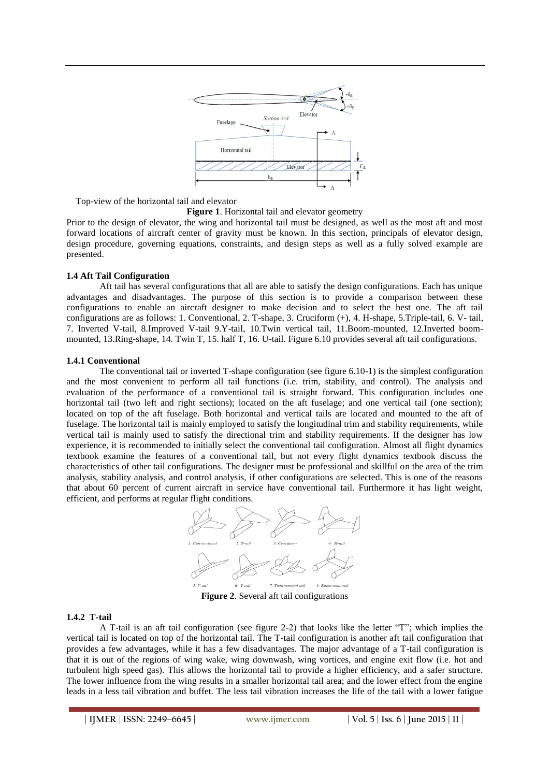

Top-view of the horizontal tail and elevator

**Figure 1**. Horizontal tail and elevator geometry

Prior to the design of elevator, the wing and horizontal tail must be designed, as well as the most aft and most forward locations of aircraft center of gravity must be known. In this section, principals of elevator design, design procedure, governing equations, constraints, and design steps as well as a fully solved example are presented.

## **1.4 Aft Tail Configuration**

Aft tail has several configurations that all are able to satisfy the design configurations. Each has unique advantages and disadvantages. The purpose of this section is to provide a comparison between these configurations to enable an aircraft designer to make decision and to select the best one. The aft tail configurations are as follows: 1. Conventional, 2. T-shape, 3. Cruciform (+), 4. H-shape, 5.Triple-tail, 6. V- tail, 7. Inverted V-tail, 8.Improved V-tail 9.Y-tail, 10.Twin vertical tail, 11.Boom-mounted, 12.Inverted boommounted, 13.Ring-shape, 14. Twin T, 15. half T, 16. U-tail. Figure 6.10 provides several aft tail configurations.

#### **1.4.1 Conventional**

The conventional tail or inverted T-shape configuration (see figure 6.10-1) is the simplest configuration and the most convenient to perform all tail functions (i.e. trim, stability, and control). The analysis and evaluation of the performance of a conventional tail is straight forward. This configuration includes one horizontal tail (two left and right sections); located on the aft fuselage; and one vertical tail (one section); located on top of the aft fuselage. Both horizontal and vertical tails are located and mounted to the aft of fuselage. The horizontal tail is mainly employed to satisfy the longitudinal trim and stability requirements, while vertical tail is mainly used to satisfy the directional trim and stability requirements. If the designer has low experience, it is recommended to initially select the conventional tail configuration. Almost all flight dynamics textbook examine the features of a conventional tail, but not every flight dynamics textbook discuss the characteristics of other tail configurations. The designer must be professional and skillful on the area of the trim analysis, stability analysis, and control analysis, if other configurations are selected. This is one of the reasons that about 60 percent of current aircraft in service have conventional tail. Furthermore it has light weight, efficient, and performs at regular flight conditions.



**Figure 2**. Several aft tail configurations

## **1.4.2 T-tail**

A T-tail is an aft tail configuration (see figure 2-2) that looks like the letter " $T$ "; which implies the vertical tail is located on top of the horizontal tail. The T-tail configuration is another aft tail configuration that provides a few advantages, while it has a few disadvantages. The major advantage of a T-tail configuration is that it is out of the regions of wing wake, wing downwash, wing vortices, and engine exit flow (i.e. hot and turbulent high speed gas). This allows the horizontal tail to provide a higher efficiency, and a safer structure. The lower influence from the wing results in a smaller horizontal tail area; and the lower effect from the engine leads in a less tail vibration and buffet. The less tail vibration increases the life of the tail with a lower fatigue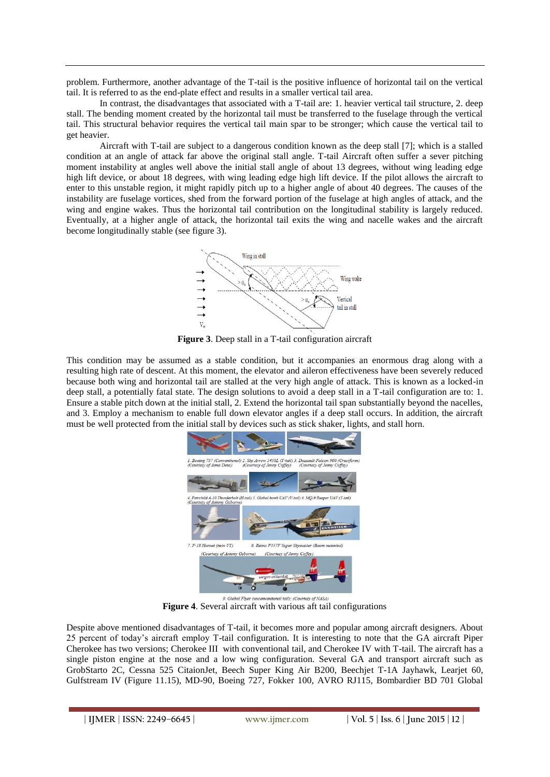problem. Furthermore, another advantage of the T-tail is the positive influence of horizontal tail on the vertical tail. It is referred to as the end-plate effect and results in a smaller vertical tail area.

In contrast, the disadvantages that associated with a T-tail are: 1. heavier vertical tail structure, 2. deep stall. The bending moment created by the horizontal tail must be transferred to the fuselage through the vertical tail. This structural behavior requires the vertical tail main spar to be stronger; which cause the vertical tail to get heavier.

Aircraft with T-tail are subject to a dangerous condition known as the deep stall [7]; which is a stalled condition at an angle of attack far above the original stall angle. T-tail Aircraft often suffer a sever pitching moment instability at angles well above the initial stall angle of about 13 degrees, without wing leading edge high lift device, or about 18 degrees, with wing leading edge high lift device. If the pilot allows the aircraft to enter to this unstable region, it might rapidly pitch up to a higher angle of about 40 degrees. The causes of the instability are fuselage vortices, shed from the forward portion of the fuselage at high angles of attack, and the wing and engine wakes. Thus the horizontal tail contribution on the longitudinal stability is largely reduced. Eventually, at a higher angle of attack, the horizontal tail exits the wing and nacelle wakes and the aircraft become longitudinally stable (see figure 3).



**Figure 3**. Deep stall in a T-tail configuration aircraft

This condition may be assumed as a stable condition, but it accompanies an enormous drag along with a resulting high rate of descent. At this moment, the elevator and aileron effectiveness have been severely reduced because both wing and horizontal tail are stalled at the very high angle of attack. This is known as a locked-in deep stall, a potentially fatal state. The design solutions to avoid a deep stall in a T-tail configuration are to: 1. Ensure a stable pitch down at the initial stall, 2. Extend the horizontal tail span substantially beyond the nacelles, and 3. Employ a mechanism to enable full down elevator angles if a deep stall occurs. In addition, the aircraft must be well protected from the initial stall by devices such as stick shaker, lights, and stall horn.



9. Global Flyer (unconventional tail); (Courtesy of NASA) **Figure 4**. Several aircraft with various aft tail configurations

Despite above mentioned disadvantages of T-tail, it becomes more and popular among aircraft designers. About 25 percent of today's aircraft employ T-tail configuration. It is interesting to note that the GA aircraft Piper Cherokee has two versions; Cherokee III with conventional tail, and Cherokee IV with T-tail. The aircraft has a single piston engine at the nose and a low wing configuration. Several GA and transport aircraft such as GrobStarto 2C, Cessna 525 CitaionJet, Beech Super King Air B200, Beechjet T-1A Jayhawk, Learjet 60, Gulfstream IV (Figure 11.15), MD-90, Boeing 727, Fokker 100, AVRO RJ115, Bombardier BD 701 Global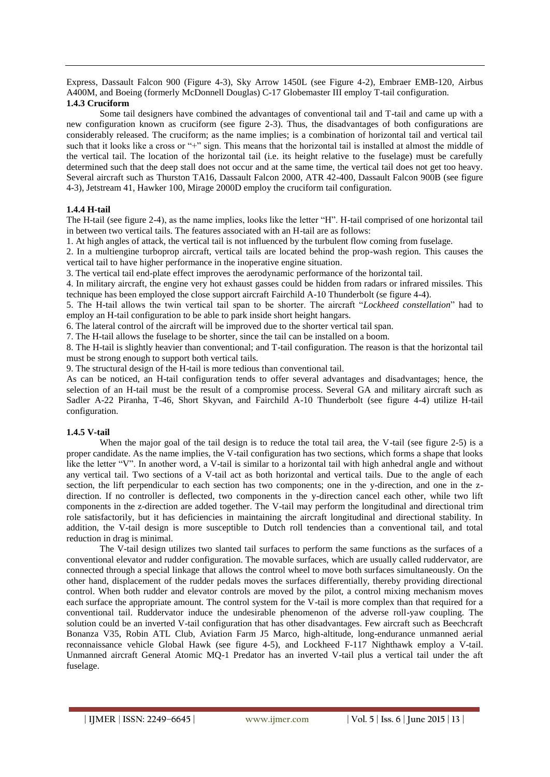Express, Dassault Falcon 900 (Figure 4-3), Sky Arrow 1450L (see Figure 4-2), Embraer EMB-120, Airbus A400M, and Boeing (formerly McDonnell Douglas) C-17 Globemaster III employ T-tail configuration.

## **1.4.3 Cruciform**

Some tail designers have combined the advantages of conventional tail and T-tail and came up with a new configuration known as cruciform (see figure 2-3). Thus, the disadvantages of both configurations are considerably released. The cruciform; as the name implies; is a combination of horizontal tail and vertical tail such that it looks like a cross or "+" sign. This means that the horizontal tail is installed at almost the middle of the vertical tail. The location of the horizontal tail (i.e. its height relative to the fuselage) must be carefully determined such that the deep stall does not occur and at the same time, the vertical tail does not get too heavy. Several aircraft such as Thurston TA16, Dassault Falcon 2000, ATR 42-400, Dassault Falcon 900B (see figure 4-3), Jetstream 41, Hawker 100, Mirage 2000D employ the cruciform tail configuration.

## **1.4.4 H-tail**

The H-tail (see figure 2-4), as the name implies, looks like the letter "H". H-tail comprised of one horizontal tail in between two vertical tails. The features associated with an H-tail are as follows:

1. At high angles of attack, the vertical tail is not influenced by the turbulent flow coming from fuselage.

2. In a multiengine turboprop aircraft, vertical tails are located behind the prop-wash region. This causes the vertical tail to have higher performance in the inoperative engine situation.

3. The vertical tail end-plate effect improves the aerodynamic performance of the horizontal tail.

4. In military aircraft, the engine very hot exhaust gasses could be hidden from radars or infrared missiles. This technique has been employed the close support aircraft Fairchild A-10 Thunderbolt (se figure 4-4).

5. The H-tail allows the twin vertical tail span to be shorter. The aircraft "Lockheed constellation" had to employ an H-tail configuration to be able to park inside short height hangars.

6. The lateral control of the aircraft will be improved due to the shorter vertical tail span.

7. The H-tail allows the fuselage to be shorter, since the tail can be installed on a boom.

8. The H-tail is slightly heavier than conventional; and T-tail configuration. The reason is that the horizontal tail must be strong enough to support both vertical tails.

9. The structural design of the H-tail is more tedious than conventional tail.

As can be noticed, an H-tail configuration tends to offer several advantages and disadvantages; hence, the selection of an H-tail must be the result of a compromise process. Several GA and military aircraft such as Sadler A-22 Piranha, T-46, Short Skyvan, and Fairchild A-10 Thunderbolt (see figure 4-4) utilize H-tail configuration.

## **1.4.5 V-tail**

When the major goal of the tail design is to reduce the total tail area, the V-tail (see figure 2-5) is a proper candidate. As the name implies, the V-tail configuration has two sections, which forms a shape that looks like the letter "V". In another word, a V-tail is similar to a horizontal tail with high anhedral angle and without any vertical tail. Two sections of a V-tail act as both horizontal and vertical tails. Due to the angle of each section, the lift perpendicular to each section has two components; one in the y-direction, and one in the zdirection. If no controller is deflected, two components in the y-direction cancel each other, while two lift components in the z-direction are added together. The V-tail may perform the longitudinal and directional trim role satisfactorily, but it has deficiencies in maintaining the aircraft longitudinal and directional stability. In addition, the V-tail design is more susceptible to Dutch roll tendencies than a conventional tail, and total reduction in drag is minimal.

The V-tail design utilizes two slanted tail surfaces to perform the same functions as the surfaces of a conventional elevator and rudder configuration. The movable surfaces, which are usually called ruddervator, are connected through a special linkage that allows the control wheel to move both surfaces simultaneously. On the other hand, displacement of the rudder pedals moves the surfaces differentially, thereby providing directional control. When both rudder and elevator controls are moved by the pilot, a control mixing mechanism moves each surface the appropriate amount. The control system for the V-tail is more complex than that required for a conventional tail. Ruddervator induce the undesirable phenomenon of the adverse roll-yaw coupling. The solution could be an inverted V-tail configuration that has other disadvantages. Few aircraft such as Beechcraft Bonanza V35, Robin ATL Club, Aviation Farm J5 Marco, high-altitude, long-endurance unmanned aerial reconnaissance vehicle Global Hawk (see figure 4-5), and Lockheed F-117 Nighthawk employ a V-tail. Unmanned aircraft General Atomic MQ-1 Predator has an inverted V-tail plus a vertical tail under the aft fuselage.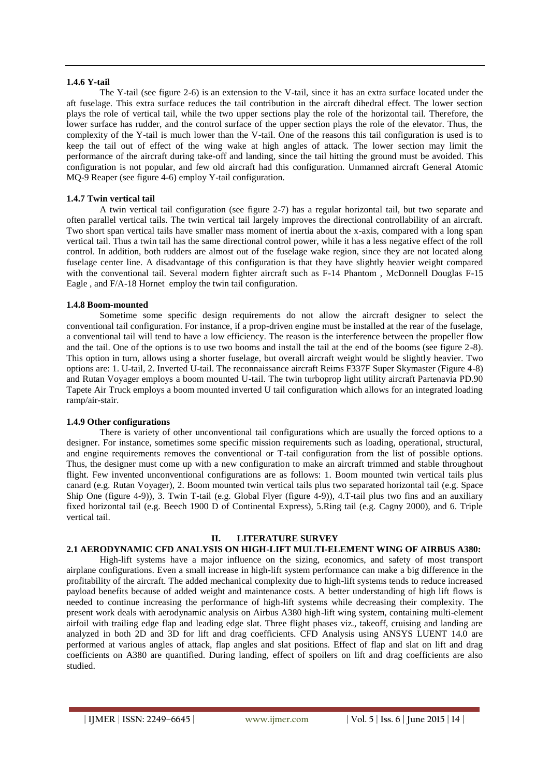#### **1.4.6 Y-tail**

The Y-tail (see figure 2-6) is an extension to the V-tail, since it has an extra surface located under the aft fuselage. This extra surface reduces the tail contribution in the aircraft dihedral effect. The lower section plays the role of vertical tail, while the two upper sections play the role of the horizontal tail. Therefore, the lower surface has rudder, and the control surface of the upper section plays the role of the elevator. Thus, the complexity of the Y-tail is much lower than the V-tail. One of the reasons this tail configuration is used is to keep the tail out of effect of the wing wake at high angles of attack. The lower section may limit the performance of the aircraft during take-off and landing, since the tail hitting the ground must be avoided. This configuration is not popular, and few old aircraft had this configuration. Unmanned aircraft General Atomic MQ-9 Reaper (see figure 4-6) employ Y-tail configuration.

#### **1.4.7 Twin vertical tail**

A twin vertical tail configuration (see figure 2-7) has a regular horizontal tail, but two separate and often parallel vertical tails. The twin vertical tail largely improves the directional controllability of an aircraft. Two short span vertical tails have smaller mass moment of inertia about the x-axis, compared with a long span vertical tail. Thus a twin tail has the same directional control power, while it has a less negative effect of the roll control. In addition, both rudders are almost out of the fuselage wake region, since they are not located along fuselage center line. A disadvantage of this configuration is that they have slightly heavier weight compared with the conventional tail. Several modern fighter aircraft such as F-14 Phantom , McDonnell Douglas F-15 Eagle , and F/A-18 Hornet employ the twin tail configuration.

#### **1.4.8 Boom-mounted**

Sometime some specific design requirements do not allow the aircraft designer to select the conventional tail configuration. For instance, if a prop-driven engine must be installed at the rear of the fuselage, a conventional tail will tend to have a low efficiency. The reason is the interference between the propeller flow and the tail. One of the options is to use two booms and install the tail at the end of the booms (see figure 2-8). This option in turn, allows using a shorter fuselage, but overall aircraft weight would be slightly heavier. Two options are: 1. U-tail, 2. Inverted U-tail. The reconnaissance aircraft Reims F337F Super Skymaster (Figure 4-8) and Rutan Voyager employs a boom mounted U-tail. The twin turboprop light utility aircraft Partenavia PD.90 Tapete Air Truck employs a boom mounted inverted U tail configuration which allows for an integrated loading ramp/air-stair.

#### **1.4.9 Other configurations**

There is variety of other unconventional tail configurations which are usually the forced options to a designer. For instance, sometimes some specific mission requirements such as loading, operational, structural, and engine requirements removes the conventional or T-tail configuration from the list of possible options. Thus, the designer must come up with a new configuration to make an aircraft trimmed and stable throughout flight. Few invented unconventional configurations are as follows: 1. Boom mounted twin vertical tails plus canard (e.g. Rutan Voyager), 2. Boom mounted twin vertical tails plus two separated horizontal tail (e.g. Space Ship One (figure 4-9)), 3. Twin T-tail (e.g. Global Flyer (figure 4-9)), 4.T-tail plus two fins and an auxiliary fixed horizontal tail (e.g. Beech 1900 D of Continental Express), 5.Ring tail (e.g. Cagny 2000), and 6. Triple vertical tail.

## **II. LITERATURE SURVEY**

## **2.1 AERODYNAMIC CFD ANALYSIS ON HIGH-LIFT MULTI-ELEMENT WING OF AIRBUS A380:**

High-lift systems have a major influence on the sizing, economics, and safety of most transport airplane configurations. Even a small increase in high-lift system performance can make a big difference in the profitability of the aircraft. The added mechanical complexity due to high-lift systems tends to reduce increased payload benefits because of added weight and maintenance costs. A better understanding of high lift flows is needed to continue increasing the performance of high-lift systems while decreasing their complexity. The present work deals with aerodynamic analysis on Airbus A380 high-lift wing system, containing multi-element airfoil with trailing edge flap and leading edge slat. Three flight phases viz., takeoff, cruising and landing are analyzed in both 2D and 3D for lift and drag coefficients. CFD Analysis using ANSYS LUENT 14.0 are performed at various angles of attack, flap angles and slat positions. Effect of flap and slat on lift and drag coefficients on A380 are quantified. During landing, effect of spoilers on lift and drag coefficients are also studied.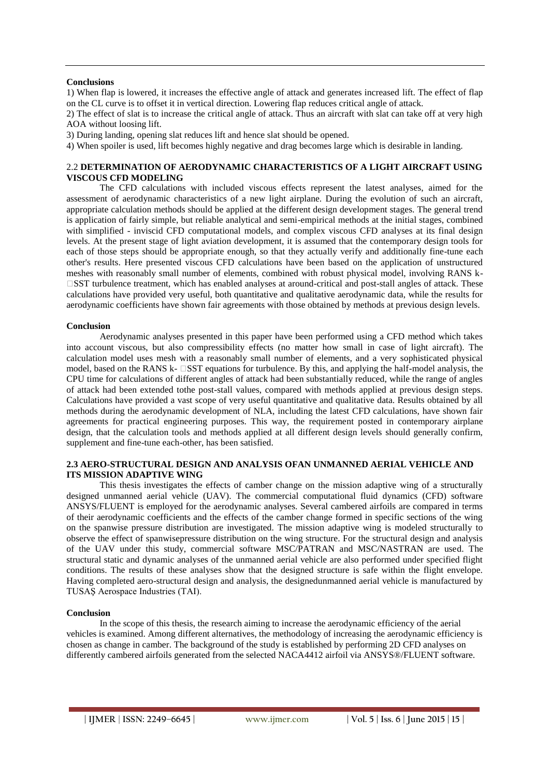#### **Conclusions**

1) When flap is lowered, it increases the effective angle of attack and generates increased lift. The effect of flap on the CL curve is to offset it in vertical direction. Lowering flap reduces critical angle of attack.

2) The effect of slat is to increase the critical angle of attack. Thus an aircraft with slat can take off at very high AOA without loosing lift.

3) During landing, opening slat reduces lift and hence slat should be opened.

4) When spoiler is used, lift becomes highly negative and drag becomes large which is desirable in landing.

## 2.2 **DETERMINATION OF AERODYNAMIC CHARACTERISTICS OF A LIGHT AIRCRAFT USING VISCOUS CFD MODELING**

The CFD calculations with included viscous effects represent the latest analyses, aimed for the assessment of aerodynamic characteristics of a new light airplane. During the evolution of such an aircraft, appropriate calculation methods should be applied at the different design development stages. The general trend is application of fairly simple, but reliable analytical and semi-empirical methods at the initial stages, combined with simplified - inviscid CFD computational models, and complex viscous CFD analyses at its final design levels. At the present stage of light aviation development, it is assumed that the contemporary design tools for each of those steps should be appropriate enough, so that they actually verify and additionally fine-tune each other's results. Here presented viscous CFD calculations have been based on the application of unstructured meshes with reasonably small number of elements, combined with robust physical model, involving RANS k- SST turbulence treatment, which has enabled analyses at around-critical and post-stall angles of attack. These calculations have provided very useful, both quantitative and qualitative aerodynamic data, while the results for aerodynamic coefficients have shown fair agreements with those obtained by methods at previous design levels.

#### **Conclusion**

Aerodynamic analyses presented in this paper have been performed using a CFD method which takes into account viscous, but also compressibility effects (no matter how small in case of light aircraft). The calculation model uses mesh with a reasonably small number of elements, and a very sophisticated physical model, based on the RANS  $k$ -  $\square$ SST equations for turbulence. By this, and applying the half-model analysis, the CPU time for calculations of different angles of attack had been substantially reduced, while the range of angles of attack had been extended tothe post-stall values, compared with methods applied at previous design steps. Calculations have provided a vast scope of very useful quantitative and qualitative data. Results obtained by all methods during the aerodynamic development of NLA, including the latest CFD calculations, have shown fair agreements for practical engineering purposes. This way, the requirement posted in contemporary airplane design, that the calculation tools and methods applied at all different design levels should generally confirm, supplement and fine-tune each-other, has been satisfied.

#### **2.3 AERO-STRUCTURAL DESIGN AND ANALYSIS OFAN UNMANNED AERIAL VEHICLE AND ITS MISSION ADAPTIVE WING**

This thesis investigates the effects of camber change on the mission adaptive wing of a structurally designed unmanned aerial vehicle (UAV). The commercial computational fluid dynamics (CFD) software ANSYS/FLUENT is employed for the aerodynamic analyses. Several cambered airfoils are compared in terms of their aerodynamic coefficients and the effects of the camber change formed in specific sections of the wing on the spanwise pressure distribution are investigated. The mission adaptive wing is modeled structurally to observe the effect of spanwisepressure distribution on the wing structure. For the structural design and analysis of the UAV under this study, commercial software MSC/PATRAN and MSC/NASTRAN are used. The structural static and dynamic analyses of the unmanned aerial vehicle are also performed under specified flight conditions. The results of these analyses show that the designed structure is safe within the flight envelope. Having completed aero-structural design and analysis, the designedunmanned aerial vehicle is manufactured by TUSAŞ Aerospace Industries (TAI).

#### **Conclusion**

In the scope of this thesis, the research aiming to increase the aerodynamic efficiency of the aerial vehicles is examined. Among different alternatives, the methodology of increasing the aerodynamic efficiency is chosen as change in camber. The background of the study is established by performing 2D CFD analyses on differently cambered airfoils generated from the selected NACA4412 airfoil via ANSYS®/FLUENT software.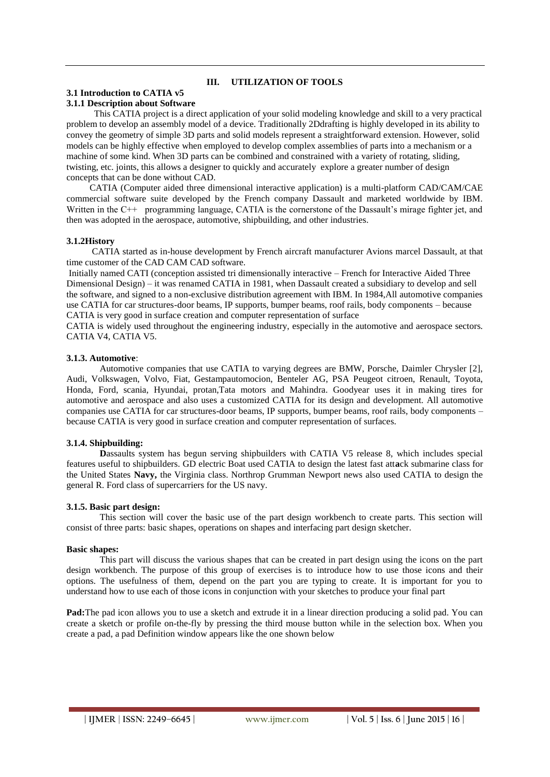## **III. UTILIZATION OF TOOLS**

#### **3.1 Introduction to CATIA v5 3.1.1 Description about Software**

 This CATIA project is a direct application of your solid modeling knowledge and skill to a very practical problem to develop an assembly model of a device. Traditionally 2Ddrafting is highly developed in its ability to convey the geometry of simple 3D parts and solid models represent a straightforward extension. However, solid models can be highly effective when employed to develop complex assemblies of parts into a mechanism or a machine of some kind. When 3D parts can be combined and constrained with a variety of rotating, sliding, twisting, etc. joints, this allows a designer to quickly and accurately explore a greater number of design concepts that can be done without CAD.

## CATIA (Computer aided three dimensional interactive application) is a multi-platform CAD/CAM/CAE commercial software suite developed by the French company Dassault and marketed worldwide by IBM. Written in the C++ programming language, CATIA is the cornerstone of the Dassault's mirage fighter jet, and then was adopted in the aerospace, automotive, shipbuilding, and other industries.

# **3.1.2History**

 CATIA started as in-house development by French aircraft manufacturer Avions marcel Dassault, at that time customer of the CAD CAM CAD software.

Initially named CATI (conception assisted tri dimensionally interactive – French for Interactive Aided Three Dimensional Design) – it was renamed CATIA in 1981, when Dassault created a subsidiary to develop and sell the software, and signed to a non-exclusive distribution agreement with IBM. In 1984,All automotive companies use CATIA for car structures-door beams, IP supports, bumper beams, roof rails, body components – because CATIA is very good in surface creation and computer representation of surface

CATIA is widely used throughout the engineering industry, especially in the automotive and aerospace sectors. CATIA V4, CATIA V5.

# **3.1.3. Automotive**:

Automotive companies that use CATIA to varying degrees are BMW, Porsche, Daimler Chrysler [2], Audi, Volkswagen, Volvo, Fiat, Gestampautomocion, Benteler AG, PSA Peugeot citroen, Renault, Toyota, Honda, Ford, scania, Hyundai, protan,Tata motors and Mahindra. Goodyear uses it in making tires for automotive and aerospace and also uses a customized CATIA for its design and development. All automotive companies use CATIA for car structures-door beams, IP supports, bumper beams, roof rails, body components – because CATIA is very good in surface creation and computer representation of surfaces.

## **3.1.4. Shipbuilding:**

**Dassaults system has begun serving shipbuilders with CATIA V5 release 8, which includes special** features useful to shipbuilders. GD electric Boat used CATIA to design the latest fast att**a**ck submarine class for the United States **Navy,** the Virginia class. Northrop Grumman Newport news also used CATIA to design the general R. Ford class of supercarriers for the US navy.

## **3.1.5. Basic part design:**

This section will cover the basic use of the part design workbench to create parts. This section will consist of three parts: basic shapes, operations on shapes and interfacing part design sketcher.

# **Basic shapes:**

This part will discuss the various shapes that can be created in part design using the icons on the part design workbench. The purpose of this group of exercises is to introduce how to use those icons and their options. The usefulness of them, depend on the part you are typing to create. It is important for you to understand how to use each of those icons in conjunction with your sketches to produce your final part

**Pad:**The pad icon allows you to use a sketch and extrude it in a linear direction producing a solid pad. You can create a sketch or profile on-the-fly by pressing the third mouse button while in the selection box. When you create a pad, a pad Definition window appears like the one shown below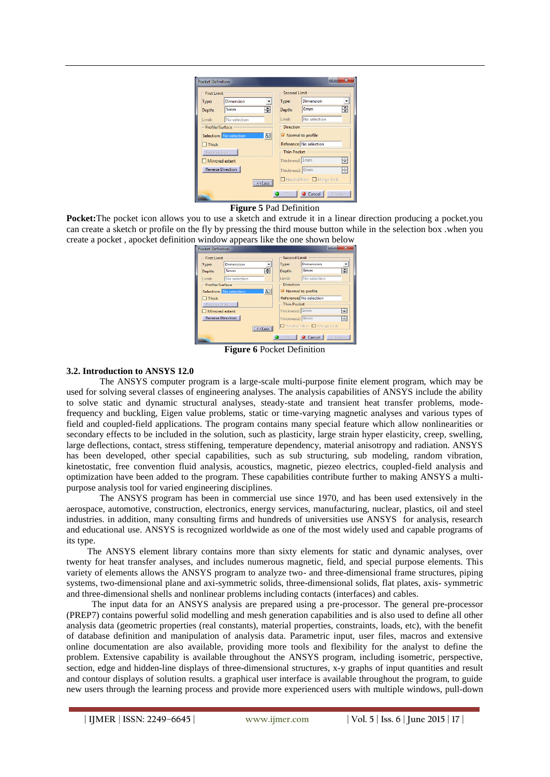| g<br>$\overline{\mathbf{x}}$<br><b>Pocket Definition</b> |                                                              |                              |                          |  |
|----------------------------------------------------------|--------------------------------------------------------------|------------------------------|--------------------------|--|
| <b>First Limit</b>                                       |                                                              | Second Limit                 |                          |  |
| Type:                                                    | <b>Dimension</b><br>$\blacktriangledown$                     | Type:                        | <b>Dimension</b><br>▼    |  |
| Depth:                                                   | ÷<br><b>5mm</b>                                              | Depth:                       | ÷<br>0 <sub>mm</sub>     |  |
| Limit:                                                   | No selection                                                 | Limit:                       | No selection             |  |
| - Profile/Surface                                        |                                                              |                              | <b>Direction</b>         |  |
| ▧<br>Selection: No selection                             |                                                              |                              | Normal to profile        |  |
| $\Box$ Thick                                             |                                                              |                              | Reference: No selection  |  |
| Reverse Side                                             |                                                              |                              | <b>Thin Pocket</b>       |  |
| $\Box$ Mirrored extent                                   |                                                              | Thickness1 1mm               | 슼                        |  |
| <b>Reverse Direction</b>                                 |                                                              | Thickness <sub>2</sub> : 0mm | ÷                        |  |
|                                                          | $\overline{\left\langle \text{ }<\text{less}\right\rangle }$ |                              | Neutral Fiber Nerge Ends |  |
|                                                          |                                                              | 0K                           | Cancel<br>Preview        |  |

#### **Figure 5** Pad Definition

**Pocket:**The pocket icon allows you to use a sketch and extrude it in a linear direction producing a pocket.you can create a sketch or profile on the fly by pressing the third mouse button while in the selection box .when you create a pocket , apocket definition window appears like the one shown below

| 33<br><b>Pocket Definition</b>                                |                                                   |            |              |                      |
|---------------------------------------------------------------|---------------------------------------------------|------------|--------------|----------------------|
| <b>First Limit</b>                                            |                                                   |            | Second Limit |                      |
| Type:                                                         | <b>Dimension</b>                                  | $\check{}$ | Type:        | <b>Dimension</b>     |
| Depth:                                                        | <b>5mm</b>                                        | ÷          | Depth:       | ÷<br>0 <sub>mm</sub> |
| Limit:                                                        | No selection                                      |            | Limit:       | No selection         |
|                                                               | <b>Direction</b><br>- Profile/Surface             |            |              |                      |
|                                                               | 囮<br>Selection: No selection<br>Normal to profile |            |              |                      |
| $\exists$ Thick                                               | <b>Reference:</b> No selection                    |            |              |                      |
|                                                               | <b>Thin Pocket</b><br>Reverse Side                |            |              |                      |
|                                                               | 픋<br>Thickness1 1mm<br>Mirrored extent            |            |              |                      |
| <b>Reverse Direction</b><br>e<br>Thickness <sub>2</sub> : 0mm |                                                   |            |              |                      |
| Neutral Fiber Merge Ends<br>$\leq$ < Less                     |                                                   |            |              |                      |
| Cancel<br><b>Preview</b><br>OK.                               |                                                   |            |              |                      |

**Figure 6** Pocket Definition

#### **3.2. Introduction to ANSYS 12.0**

The ANSYS computer program is a large-scale multi-purpose finite element program, which may be used for solving several classes of engineering analyses. The analysis capabilities of ANSYS include the ability to solve static and dynamic structural analyses, steady-state and transient heat transfer problems, modefrequency and buckling, Eigen value problems, static or time-varying magnetic analyses and various types of field and coupled-field applications. The program contains many special feature which allow nonlinearities or secondary effects to be included in the solution, such as plasticity, large strain hyper elasticity, creep, swelling, large deflections, contact, stress stiffening, temperature dependency, material anisotropy and radiation. ANSYS has been developed, other special capabilities, such as sub structuring, sub modeling, random vibration, kinetostatic, free convention fluid analysis, acoustics, magnetic, piezeo electrics, coupled-field analysis and optimization have been added to the program. These capabilities contribute further to making ANSYS a multipurpose analysis tool for varied engineering disciplines.

The ANSYS program has been in commercial use since 1970, and has been used extensively in the aerospace, automotive, construction, electronics, energy services, manufacturing, nuclear, plastics, oil and steel industries. in addition, many consulting firms and hundreds of universities use ANSYS for analysis, research and educational use. ANSYS is recognized worldwide as one of the most widely used and capable programs of its type.

 The ANSYS element library contains more than sixty elements for static and dynamic analyses, over twenty for heat transfer analyses, and includes numerous magnetic, field, and special purpose elements. This variety of elements allows the ANSYS program to analyze two- and three-dimensional frame structures, piping systems, two-dimensional plane and axi-symmetric solids, three-dimensional solids, flat plates, axis- symmetric and three-dimensional shells and nonlinear problems including contacts (interfaces) and cables.

 The input data for an ANSYS analysis are prepared using a pre-processor. The general pre-processor (PREP7) contains powerful solid modelling and mesh generation capabilities and is also used to define all other analysis data (geometric properties (real constants), material properties, constraints, loads, etc), with the benefit of database definition and manipulation of analysis data. Parametric input, user files, macros and extensive online documentation are also available, providing more tools and flexibility for the analyst to define the problem. Extensive capability is available throughout the ANSYS program, including isometric, perspective, section, edge and hidden-line displays of three-dimensional structures, x-y graphs of input quantities and result and contour displays of solution results. a graphical user interface is available throughout the program, to guide new users through the learning process and provide more experienced users with multiple windows, pull-down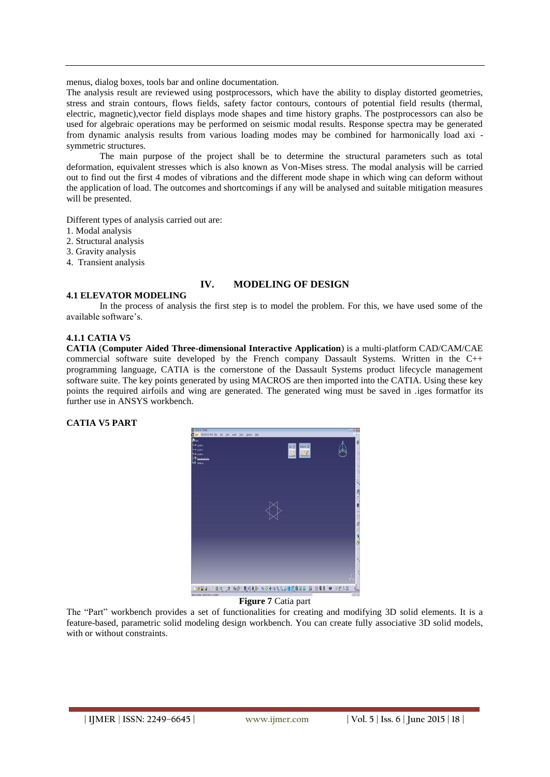menus, dialog boxes, tools bar and online documentation.

The analysis result are reviewed using postprocessors, which have the ability to display distorted geometries, stress and strain contours, flows fields, safety factor contours, contours of potential field results (thermal, electric, magnetic),vector field displays mode shapes and time history graphs. The postprocessors can also be used for algebraic operations may be performed on seismic modal results. Response spectra may be generated from dynamic analysis results from various loading modes may be combined for harmonically load axi symmetric structures.

The main purpose of the project shall be to determine the structural parameters such as total deformation, equivalent stresses which is also known as Von-Mises stress. The modal analysis will be carried out to find out the first 4 modes of vibrations and the different mode shape in which wing can deform without the application of load. The outcomes and shortcomings if any will be analysed and suitable mitigation measures will be presented.

Different types of analysis carried out are:

- 1. Modal analysis
- 2. Structural analysis
- 3. Gravity analysis
- 4. Transient analysis

## **IV. MODELING OF DESIGN**

#### **4.1 ELEVATOR MODELING**

In the process of analysis the first step is to model the problem. For this, we have used some of the available software's.

#### **4.1.1 CATIA V5**

**CATIA** (**Computer Aided Three-dimensional Interactive Application**) is a multi-platform CAD/CAM/CAE commercial software suite developed by the French company Dassault Systems. Written in the C++ programming language, CATIA is the cornerstone of the Dassault Systems product lifecycle management software suite. The key points generated by using MACROS are then imported into the CATIA. Using these key points the required airfoils and wing are generated. The generated wing must be saved in .iges formatfor its further use in ANSYS workbench.

# **CATIA V5 PART**



**Figure 7** Catia part

The "Part" workbench provides a set of functionalities for creating and modifying 3D solid elements. It is a feature-based, parametric solid modeling design workbench. You can create fully associative 3D solid models, with or without constraints.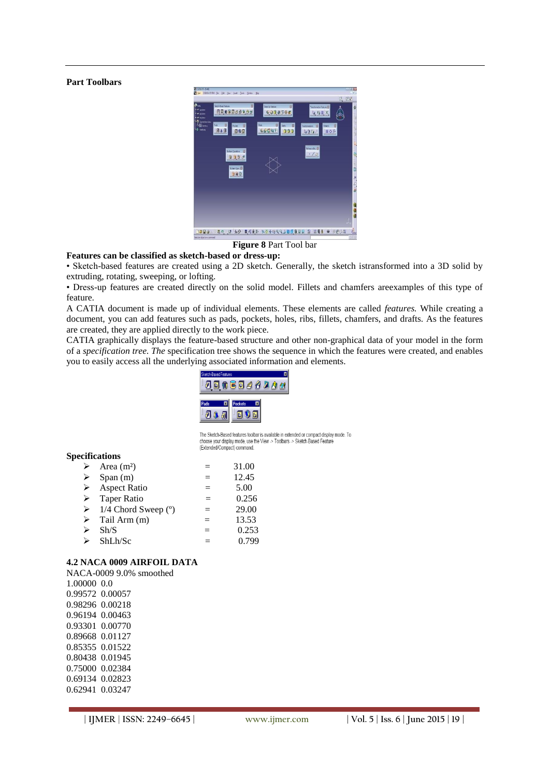#### **Part Toolbars**



#### **Figure 8** Part Tool bar

#### **Features can be classified as sketch-based or dress-up:**

• Sketch-based features are created using a 2D sketch. Generally, the sketch istransformed into a 3D solid by extruding, rotating, sweeping, or lofting.

• Dress-up features are created directly on the solid model. Fillets and chamfers areexamples of this type of feature.

A CATIA document is made up of individual elements. These elements are called *features.* While creating a document, you can add features such as pads, pockets, holes, ribs, fillets, chamfers, and drafts. As the features are created, they are applied directly to the work piece.

CATIA graphically displays the feature-based structure and other non-graphical data of your model in the form of a *specification tree. The* specification tree shows the sequence in which the features were created, and enables you to easily access all the underlying associated information and elements.



The Sketch-Based features toolbar is available in extended or compact display mode. To<br>choose your display mode, use the View -> Toolbars -> Sketch-Based Feature (Extended/Compact) command.

# **Specifications**

|   | Area $(m2)$                          |     | 31.00 |
|---|--------------------------------------|-----|-------|
|   | Span(m)                              | $=$ | 12.45 |
| ⋗ | <b>Aspect Ratio</b>                  | $=$ | 5.00  |
| ➤ | <b>Taper Ratio</b>                   | $=$ | 0.256 |
|   | $\triangleright$ 1/4 Chord Sweep (°) | $=$ | 29.00 |
|   | $\triangleright$ Tail Arm (m)        | $=$ | 13.53 |
|   | Sh/S                                 | $=$ | 0.253 |
|   | ShLh/Sc                              |     | 0.799 |

#### **4.2 NACA 0009 AIRFOIL DATA**

NACA-0009 9.0% smoothed 1.00000 0.0 0.99572 0.00057 0.98296 0.00218 0.96194 0.00463 0.93301 0.00770 0.89668 0.01127 0.85355 0.01522 0.80438 0.01945 0.75000 0.02384 0.69134 0.02823 0.62941 0.03247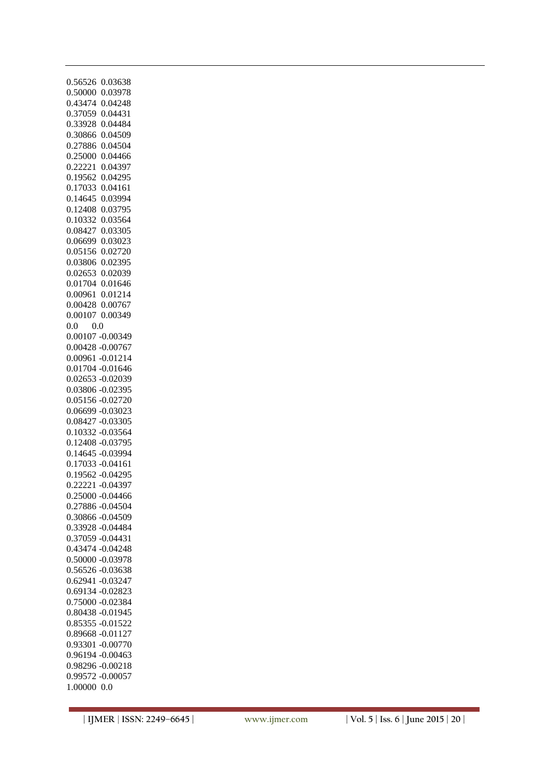| 0.56526            | 0.03638                  |
|--------------------|--------------------------|
| 0.50000            | 0.03978                  |
| 0.43474            | 0.04248                  |
| 0.37059            | 0.04431                  |
| 0.33928            | 0.04484                  |
| 0.30866            | 0.04509                  |
| 0.27886            | 0.04504                  |
| 0.25000            | 0.04466                  |
| 0.22221            | 0.04397                  |
| 0.19562            | 0.04295                  |
| 0.17033            | 0.04161                  |
| 0.14645            | 0.03994                  |
| 0.12408            | 0.03795                  |
| 0.10332            | 0.03564                  |
| 0.08427            | 0.03305                  |
| 0.06699            | 0.03023                  |
| 0.05156            | 0.02720                  |
| 0.03806            | 0.02395                  |
| 0.02653            | 0.02039                  |
| 0.01704            |                          |
|                    | 0.01646                  |
| 0.00961            | 0.01214                  |
| 0.00428            | 0.00767                  |
| 0.00107            | 0.00349                  |
| 0.0<br>0.0         |                          |
|                    | 0.00107 -0.00349         |
| 0.00428            | $-0.00767$               |
| 0.00961            | $-0.01214$               |
| 0.01704            | $-0.01646$               |
| 0.02653            | $-0.02039$               |
| 0.03806            | $-0.02395$               |
|                    |                          |
| 0.05156            | $-0.02720$               |
| 0.06699            | $-0.03023$               |
| 0.08427            | $-0.03305$               |
| 0.10332            | $-0.03564$               |
|                    | $-0.03795$               |
| 0.12408            |                          |
| 0.14645            | $-0.03994$               |
| 0.17033            | $-0.04161$               |
| 0.19562            | $-0.04295$<br>$-0.04397$ |
| 0.22221            |                          |
|                    | 0.25000 -0.04466         |
| 0.27886            | $-0.04504$               |
| 0.30866            | $-0.04509$               |
| 0.33928            | $-0.04484$               |
| 0.37059            | $-0.04431$               |
| 0.43474            | $-0.04248$               |
| 0.50000            | $-0.03978$               |
| 0.56526            | $-0.03638$               |
| 0.62941            | $-0.03247$               |
| 0.69134            | $-0.02823$               |
| 0.75000            | $-0.02384$               |
| 0.80438            | $-0.01945$               |
| 0.85355            | $-0.01522$               |
| 0.89668            | $-0.01127$               |
| 0.93301            | $-0.00770$               |
| 0.96194            | $-0.00463$               |
| 0.98296            | $-0.00218$               |
| 0.99572<br>1.00000 | $-0.00057$<br>0.0        |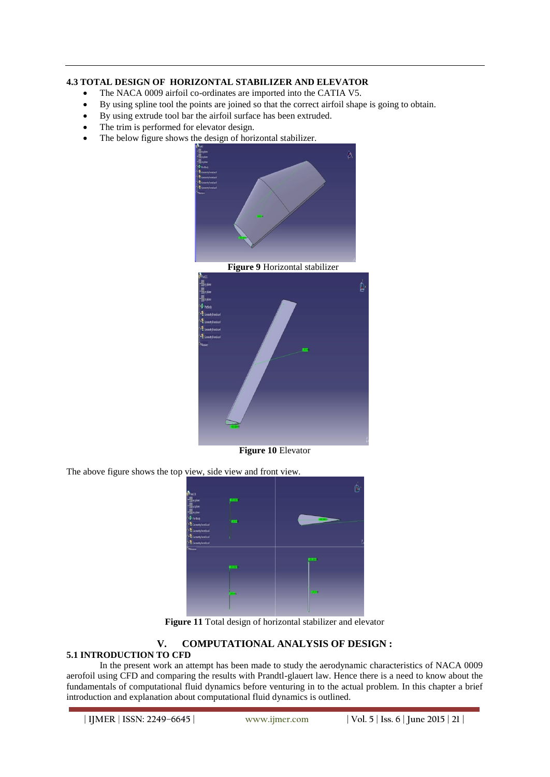# **4.3 TOTAL DESIGN OF HORIZONTAL STABILIZER AND ELEVATOR**

- The NACA 0009 airfoil co-ordinates are imported into the CATIA V5.
- By using spline tool the points are joined so that the correct airfoil shape is going to obtain.
- By using extrude tool bar the airfoil surface has been extruded.
- The trim is performed for elevator design.
- The below figure shows the design of horizontal stabilizer.



**Figure 9** Horizontal stabilizer



**Figure 10** Elevator

The above figure shows the top view, side view and front view.



**Figure 11** Total design of horizontal stabilizer and elevator

# **V. COMPUTATIONAL ANALYSIS OF DESIGN :**

# **5.1 INTRODUCTION TO CFD**

In the present work an attempt has been made to study the aerodynamic characteristics of NACA 0009 aerofoil using CFD and comparing the results with Prandtl-glauert law. Hence there is a need to know about the fundamentals of computational fluid dynamics before venturing in to the actual problem. In this chapter a brief introduction and explanation about computational fluid dynamics is outlined.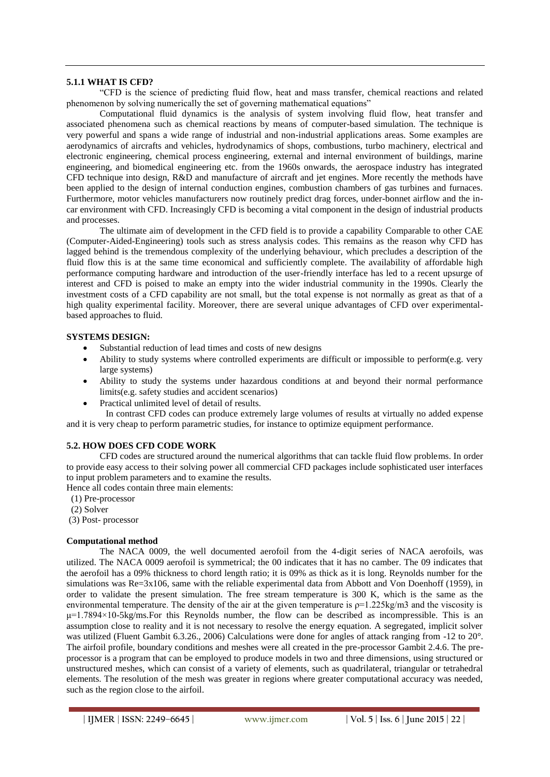# **5.1.1 WHAT IS CFD?**

―CFD is the science of predicting fluid flow, heat and mass transfer, chemical reactions and related phenomenon by solving numerically the set of governing mathematical equations"

Computational fluid dynamics is the analysis of system involving fluid flow, heat transfer and associated phenomena such as chemical reactions by means of computer-based simulation. The technique is very powerful and spans a wide range of industrial and non-industrial applications areas. Some examples are aerodynamics of aircrafts and vehicles, hydrodynamics of shops, combustions, turbo machinery, electrical and electronic engineering, chemical process engineering, external and internal environment of buildings, marine engineering, and biomedical engineering etc. from the 1960s onwards, the aerospace industry has integrated CFD technique into design, R&D and manufacture of aircraft and jet engines. More recently the methods have been applied to the design of internal conduction engines, combustion chambers of gas turbines and furnaces. Furthermore, motor vehicles manufacturers now routinely predict drag forces, under-bonnet airflow and the incar environment with CFD. Increasingly CFD is becoming a vital component in the design of industrial products and processes.

The ultimate aim of development in the CFD field is to provide a capability Comparable to other CAE (Computer-Aided-Engineering) tools such as stress analysis codes. This remains as the reason why CFD has lagged behind is the tremendous complexity of the underlying behaviour, which precludes a description of the fluid flow this is at the same time economical and sufficiently complete. The availability of affordable high performance computing hardware and introduction of the user-friendly interface has led to a recent upsurge of interest and CFD is poised to make an empty into the wider industrial community in the 1990s. Clearly the investment costs of a CFD capability are not small, but the total expense is not normally as great as that of a high quality experimental facility. Moreover, there are several unique advantages of CFD over experimentalbased approaches to fluid.

## **SYSTEMS DESIGN:**

- Substantial reduction of lead times and costs of new designs
- Ability to study systems where controlled experiments are difficult or impossible to perform(e.g. very large systems)
- Ability to study the systems under hazardous conditions at and beyond their normal performance limits(e.g. safety studies and accident scenarios)
- Practical unlimited level of detail of results.

 In contrast CFD codes can produce extremely large volumes of results at virtually no added expense and it is very cheap to perform parametric studies, for instance to optimize equipment performance.

# **5.2. HOW DOES CFD CODE WORK**

CFD codes are structured around the numerical algorithms that can tackle fluid flow problems. In order to provide easy access to their solving power all commercial CFD packages include sophisticated user interfaces to input problem parameters and to examine the results.

Hence all codes contain three main elements:

- (1) Pre-processor
- (2) Solver
- (3) Post- processor

## **Computational method**

The NACA 0009, the well documented aerofoil from the 4-digit series of NACA aerofoils, was utilized. The NACA 0009 aerofoil is symmetrical; the 00 indicates that it has no camber. The 09 indicates that the aerofoil has a 09% thickness to chord length ratio; it is 09% as thick as it is long. Reynolds number for the simulations was Re=3x106, same with the reliable experimental data from Abbott and Von Doenhoff (1959), in order to validate the present simulation. The free stream temperature is 300 K, which is the same as the environmental temperature. The density of the air at the given temperature is  $p=1.225 \text{kg/m}3$  and the viscosity is μ=1.7894×10-5kg/ms.For this Reynolds number, the flow can be described as incompressible. This is an assumption close to reality and it is not necessary to resolve the energy equation. A segregated, implicit solver was utilized (Fluent Gambit 6.3.26., 2006) Calculations were done for angles of attack ranging from -12 to 20°. The airfoil profile, boundary conditions and meshes were all created in the pre-processor Gambit 2.4.6. The preprocessor is a program that can be employed to produce models in two and three dimensions, using structured or unstructured meshes, which can consist of a variety of elements, such as quadrilateral, triangular or tetrahedral elements. The resolution of the mesh was greater in regions where greater computational accuracy was needed, such as the region close to the airfoil.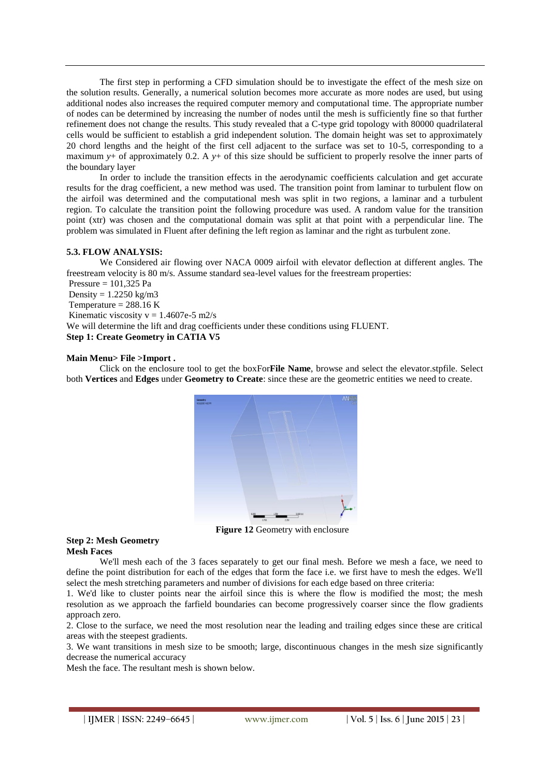The first step in performing a CFD simulation should be to investigate the effect of the mesh size on the solution results. Generally, a numerical solution becomes more accurate as more nodes are used, but using additional nodes also increases the required computer memory and computational time. The appropriate number of nodes can be determined by increasing the number of nodes until the mesh is sufficiently fine so that further refinement does not change the results. This study revealed that a C-type grid topology with 80000 quadrilateral cells would be sufficient to establish a grid independent solution. The domain height was set to approximately 20 chord lengths and the height of the first cell adjacent to the surface was set to 10-5, corresponding to a maximum  $y +$  of approximately 0.2. A  $y +$  of this size should be sufficient to properly resolve the inner parts of the boundary layer

In order to include the transition effects in the aerodynamic coefficients calculation and get accurate results for the drag coefficient, a new method was used. The transition point from laminar to turbulent flow on the airfoil was determined and the computational mesh was split in two regions, a laminar and a turbulent region. To calculate the transition point the following procedure was used. A random value for the transition point (xtr) was chosen and the computational domain was split at that point with a perpendicular line. The problem was simulated in Fluent after defining the left region as laminar and the right as turbulent zone.

## **5.3. FLOW ANALYSIS:**

We Considered air flowing over NACA 0009 airfoil with elevator deflection at different angles. The freestream velocity is 80 m/s. Assume standard sea-level values for the freestream properties:

Pressure  $= 101,325$  Pa Density =  $1.2250$  kg/m3 Temperature  $= 288.16$  K Kinematic viscosity  $v = 1.4607e-5$  m2/s We will determine the lift and drag coefficients under these conditions using FLUENT. **Step 1: Create Geometry in CATIA V5**

# **Main Menu> File >Import .**

Click on the enclosure tool to get the boxFor**File Name**, browse and select the elevator.stpfile. Select both **Vertices** and **Edges** under **Geometry to Create**: since these are the geometric entities we need to create.



**Figure 12** Geometry with enclosure

#### **Step 2: Mesh Geometry Mesh Faces**

We'll mesh each of the 3 faces separately to get our final mesh. Before we mesh a face, we need to define the point distribution for each of the edges that form the face i.e. we first have to mesh the edges. We'll select the mesh stretching parameters and number of divisions for each edge based on three criteria:

1. We'd like to cluster points near the airfoil since this is where the flow is modified the most; the mesh resolution as we approach the farfield boundaries can become progressively coarser since the flow gradients approach zero.

2. Close to the surface, we need the most resolution near the leading and trailing edges since these are critical areas with the steepest gradients.

3. We want transitions in mesh size to be smooth; large, discontinuous changes in the mesh size significantly decrease the numerical accuracy

Mesh the face. The resultant mesh is shown below.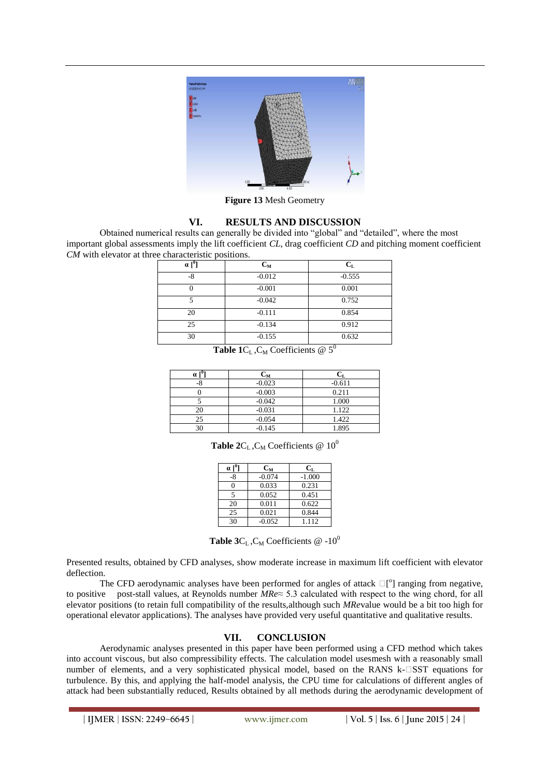

**Figure 13** Mesh Geometry

# **VI. RESULTS AND DISCUSSION**

Obtained numerical results can generally be divided into "global" and "detailed", where the most important global assessments imply the lift coefficient *CL*, drag coefficient *CD* and pitching moment coefficient *CM* with elevator at three characteristic positions.

| $\alpha$ $\overline{I}^{0}$ | $C_M$    | $C_{L}$  |
|-----------------------------|----------|----------|
| $-8$                        | $-0.012$ | $-0.555$ |
|                             | $-0.001$ | 0.001    |
|                             | $-0.042$ | 0.752    |
| 20                          | $-0.111$ | 0.854    |
| 25                          | $-0.134$ | 0.912    |
| 30                          | $-0.155$ | 0.632    |

**Table 1**C<sub>L</sub>, C<sub>M</sub> Coefficients  $@5^0$ 

| $\alpha$ | $\mathbf{C}_\mathbf{M}$ |          |
|----------|-------------------------|----------|
|          | $-0.023$                | $-0.611$ |
|          | $-0.003$                | 0.211    |
|          | $-0.042$                | 1.000    |
| 20       | $-0.031$                | 1.122    |
| 25       | $-0.054$                | 1.422    |
| 30       | $-0.145$                | 1.895    |

**Table 2**C<sub>L</sub>, C<sub>M</sub> Coefficients  $@10^0$ 

| αI   | $C_M$    | $\mathbf{C}_{\mathbf{L}}$ |
|------|----------|---------------------------|
| $-8$ | $-0.074$ | $-1.000$                  |
| 0    | 0.033    | 0.231                     |
| 5    | 0.052    | 0.451                     |
| 20   | 0.011    | 0.622                     |
| 25   | 0.021    | 0.844                     |
| 30   | $-0.052$ | 1.112                     |
|      |          |                           |

**Table 3**C<sub>L</sub>, C<sub>M</sub> Coefficients  $@ -10^0$ 

Presented results, obtained by CFD analyses, show moderate increase in maximum lift coefficient with elevator deflection.

The CFD aerodynamic analyses have been performed for angles of attack  $\Box$  [<sup>o</sup>] ranging from negative, to positive post-stall values, at Reynolds number *MRe*≈ 5.3 calculated with respect to the wing chord, for all elevator positions (to retain full compatibility of the results,although such *MRe*value would be a bit too high for operational elevator applications). The analyses have provided very useful quantitative and qualitative results.

## **VII. CONCLUSION**

Aerodynamic analyses presented in this paper have been performed using a CFD method which takes into account viscous, but also compressibility effects. The calculation model usesmesh with a reasonably small number of elements, and a very sophisticated physical model, based on the RANS k- $\square SST$  equations for turbulence. By this, and applying the half-model analysis, the CPU time for calculations of different angles of attack had been substantially reduced, Results obtained by all methods during the aerodynamic development of